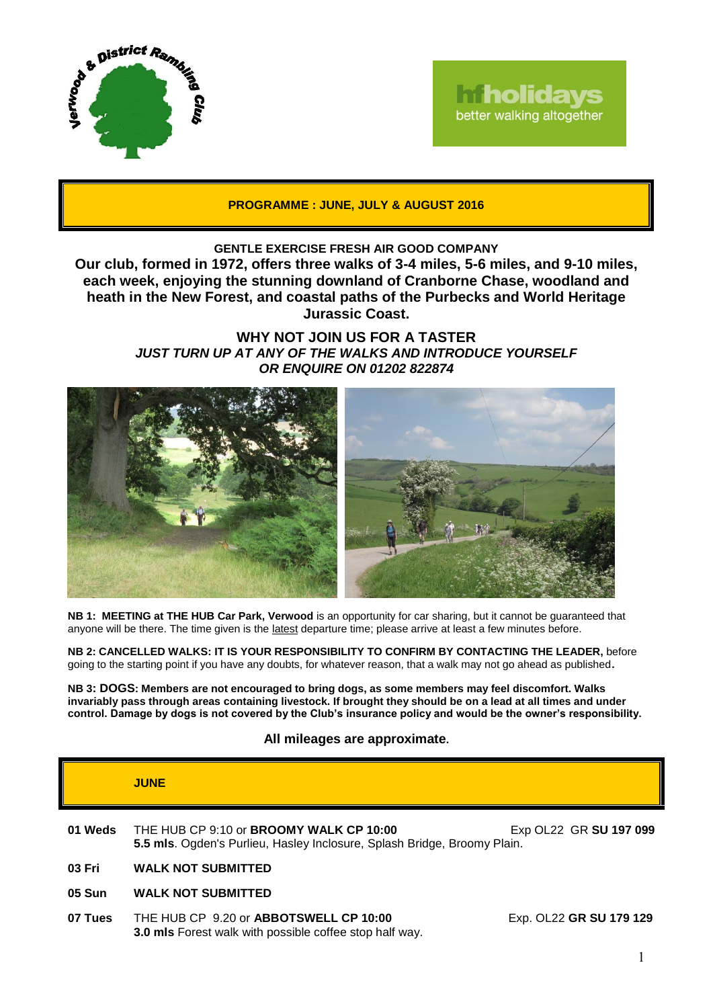

# **Tholidays** better walking altogether

**PROGRAMME : JUNE, JULY & AUGUST 2016**

## **GENTLE EXERCISE FRESH AIR GOOD COMPANY**

**Our club, formed in 1972, offers three walks of 3-4 miles, 5-6 miles, and 9-10 miles, each week, enjoying the stunning downland of Cranborne Chase, woodland and heath in the New Forest, and coastal paths of the Purbecks and World Heritage Jurassic Coast.**

> **WHY NOT JOIN US FOR A TASTER** *JUST TURN UP AT ANY OF THE WALKS AND INTRODUCE YOURSELF OR ENQUIRE ON 01202 822874*



**NB 1: MEETING at THE HUB Car Park, Verwood** is an opportunity for car sharing, but it cannot be guaranteed that anyone will be there. The time given is the latest departure time; please arrive at least a few minutes before.

**NB 2: CANCELLED WALKS: IT IS YOUR RESPONSIBILITY TO CONFIRM BY CONTACTING THE LEADER,** before going to the starting point if you have any doubts, for whatever reason, that a walk may not go ahead as published**.**

**NB 3: DOGS: Members are not encouraged to bring dogs, as some members may feel discomfort. Walks invariably pass through areas containing livestock. If brought they should be on a lead at all times and under control. Damage by dogs is not covered by the Club's insurance policy and would be the owner's responsibility.**

## **All mileages are approximate.**

|         | <b>JUNE</b>                                                                                                                |                         |
|---------|----------------------------------------------------------------------------------------------------------------------------|-------------------------|
| 01 Weds | THE HUB CP 9:10 or <b>BROOMY WALK CP 10:00</b><br>5.5 mls. Ogden's Purlieu, Hasley Inclosure, Splash Bridge, Broomy Plain. | Exp OL22 GR SU 197 099  |
| 03 Fri  | <b>WALK NOT SUBMITTED</b>                                                                                                  |                         |
| 05 Sun  | <b>WALK NOT SUBMITTED</b>                                                                                                  |                         |
| 07 Tues | THE HUB CP 9.20 or ABBOTSWELL CP 10:00                                                                                     | Exp. OL22 GR SU 179 129 |

**3.0 mls** Forest walk with possible coffee stop half way.

1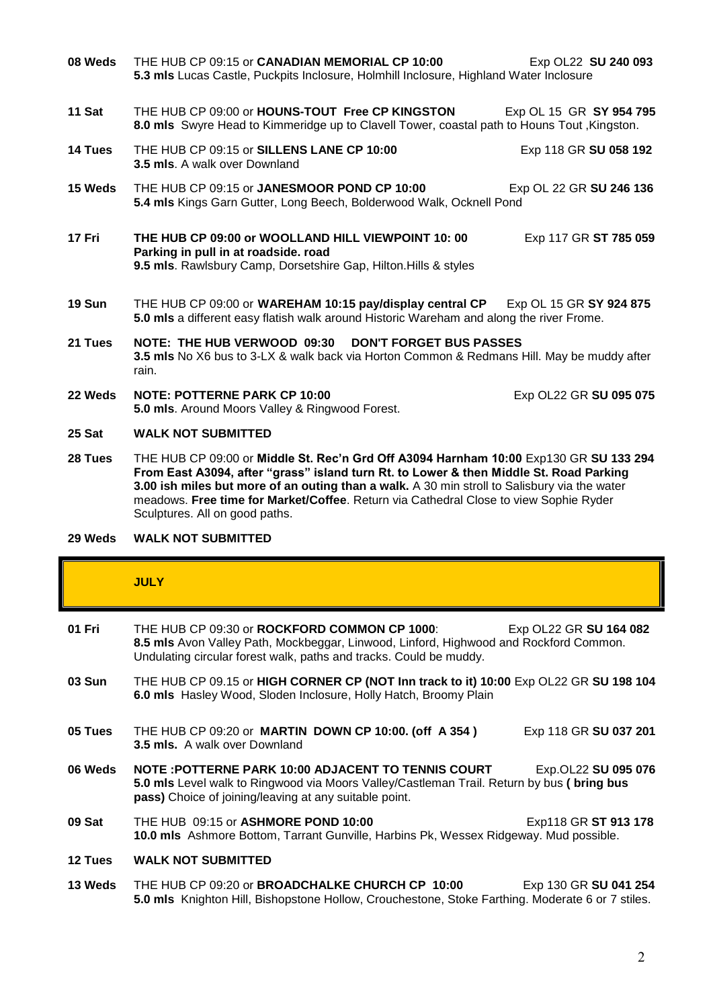- **08 Weds** THE HUB CP 09:15 or **CANADIAN MEMORIAL CP 10:00** Exp OL22 SU 240 093 **5.3 mls** Lucas Castle, Puckpits Inclosure, Holmhill Inclosure, Highland Water Inclosure **11 Sat** THE HUB CP 09:00 or **HOUNS-TOUT Free CP KINGSTON** Exp OL 15 GR **SY 954 795 8.0 mls** Swyre Head to Kimmeridge up to Clavell Tower, coastal path to Houns Tout ,Kingston. **14 Tues** THE HUB CP 09:15 or **SILLENS LANE CP 10:00** Exp 118 GR **SU 058 192 3.5 mls**. A walk over Downland **15 Weds** THE HUB CP 09:15 or **JANESMOOR POND CP 10:00** Exp OL 22 GR **SU 246 136 5.4 mls** Kings Garn Gutter, Long Beech, Bolderwood Walk, Ocknell Pond **17 Fri THE HUB CP 09:00 or WOOLLAND HILL VIEWPOINT 10: 00** Exp 117 GR **ST 785 059 Parking in pull in at roadside. road 9.5 mls**. Rawlsbury Camp, Dorsetshire Gap, Hilton.Hills & styles **19 Sun** THE HUB CP 09:00 or **WAREHAM 10:15 pay/display central CP** Exp OL 15 GR **SY 924 875 5.0 mls** a different easy flatish walk around Historic Wareham and along the river Frome. **21 Tues NOTE: THE HUB VERWOOD 09:30 DON'T FORGET BUS PASSES 3.5 mls** No X6 bus to 3-LX & walk back via Horton Common & Redmans Hill. May be muddy after rain. **22 Weds NOTE: POTTERNE PARK CP 10:00** Exp OL22 GR **SU 095 075 5.0 mls**. Around Moors Valley & Ringwood Forest. **25 Sat WALK NOT SUBMITTED**
- **28 Tues** THE HUB CP 09:00 or **Middle St. Rec'n Grd Off A3094 Harnham 10:00** Exp130 GR **SU 133 294 From East A3094, after "grass" island turn Rt. to Lower & then Middle St. Road Parking 3.00 ish miles but more of an outing than a walk.** A 30 min stroll to Salisbury via the water meadows. **Free time for Market/Coffee**. Return via Cathedral Close to view Sophie Ryder Sculptures. All on good paths.
- **29 Weds WALK NOT SUBMITTED**

# **JULY**

| 01 Fri  | THE HUB CP 09:30 or ROCKFORD COMMON CP 1000:<br>8.5 mls Avon Valley Path, Mockbeggar, Linwood, Linford, Highwood and Rockford Common.<br>Undulating circular forest walk, paths and tracks. Could be muddy.                               | Exp OL22 GR SU 164 082 |  |
|---------|-------------------------------------------------------------------------------------------------------------------------------------------------------------------------------------------------------------------------------------------|------------------------|--|
| 03 Sun  | THE HUB CP 09.15 or HIGH CORNER CP (NOT Inn track to it) 10:00 Exp OL22 GR SU 198 104<br>6.0 mls Hasley Wood, Sloden Inclosure, Holly Hatch, Broomy Plain                                                                                 |                        |  |
| 05 Tues | THE HUB CP 09:20 or MARTIN DOWN CP 10:00. (off A 354)<br><b>3.5 mls.</b> A walk over Downland                                                                                                                                             | Exp 118 GR SU 037 201  |  |
| 06 Weds | <b>NOTE : POTTERNE PARK 10:00 ADJACENT TO TENNIS COURT</b><br>Exp.OL22 SU 095 076<br>5.0 mls Level walk to Ringwood via Moors Valley/Castleman Trail. Return by bus ( bring bus<br>pass) Choice of joining/leaving at any suitable point. |                        |  |
| 09 Sat  | THE HUB 09:15 or ASHMORE POND 10:00<br>10.0 mls Ashmore Bottom, Tarrant Gunville, Harbins Pk, Wessex Ridgeway. Mud possible.                                                                                                              | Exp118 GR ST 913 178   |  |
| 12 Tues | <b>WALK NOT SUBMITTED</b>                                                                                                                                                                                                                 |                        |  |
| 13 Weds | THE HUB CP 09:20 or <b>BROADCHALKE CHURCH CP 10:00</b><br><b>5.0 mls</b> Knighton Hill, Bishopstone Hollow, Crouchestone, Stoke Farthing, Moderate 6 or 7 stiles,                                                                         | Exp 130 GR SU 041 254  |  |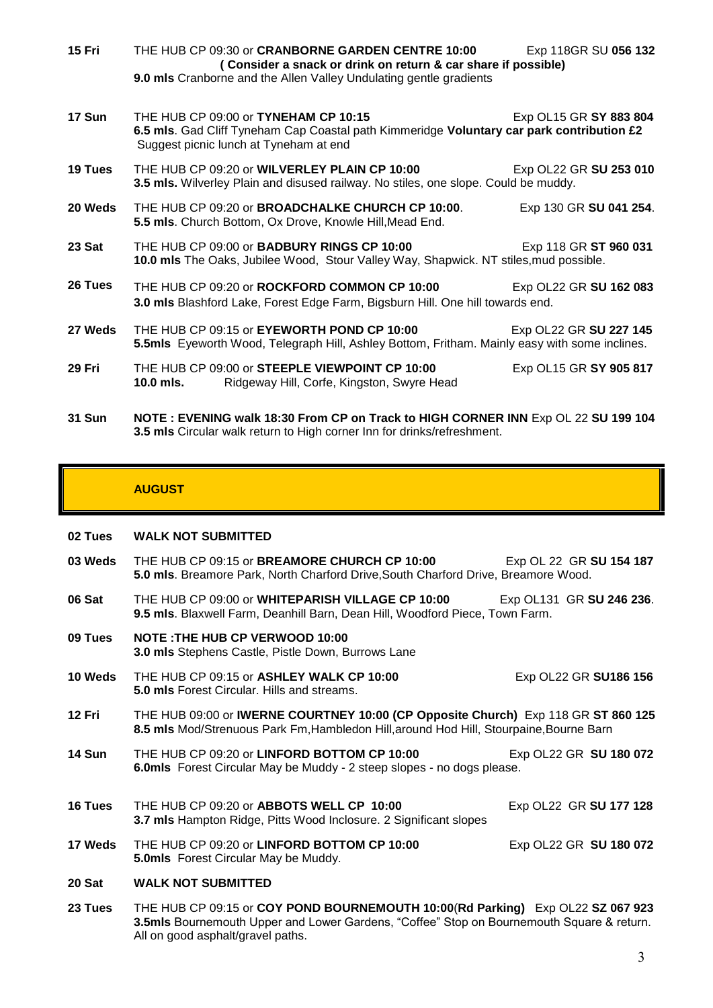| <b>15 Fri</b> | THE HUB CP 09:30 or CRANBORNE GARDEN CENTRE 10:00<br>(Consider a snack or drink on return & car share if possible)<br>9.0 mls Cranborne and the Allen Valley Undulating gentle gradients | Exp 118GR SU 056 132   |
|---------------|------------------------------------------------------------------------------------------------------------------------------------------------------------------------------------------|------------------------|
| 17 Sun        | THE HUB CP 09:00 or <b>TYNEHAM CP 10:15</b><br>6.5 mls. Gad Cliff Tyneham Cap Coastal path Kimmeridge Voluntary car park contribution £2<br>Suggest picnic lunch at Tyneham at end       | Exp OL15 GR SY 883 804 |
| 19 Tues       | THE HUB CP 09:20 or WILVERLEY PLAIN CP 10:00<br>3.5 mls. Wilverley Plain and disused railway. No stiles, one slope. Could be muddy.                                                      | Exp OL22 GR SU 253 010 |
| 20 Weds       | THE HUB CP 09:20 or <b>BROADCHALKE CHURCH CP 10:00</b> .<br>5.5 mls. Church Bottom, Ox Drove, Knowle Hill, Mead End.                                                                     | Exp 130 GR SU 041 254. |
| 23 Sat        | THE HUB CP 09:00 or <b>BADBURY RINGS CP 10:00</b><br>10.0 mls The Oaks, Jubilee Wood, Stour Valley Way, Shapwick. NT stiles, mud possible.                                               | Exp 118 GR ST 960 031  |
| 26 Tues       | THE HUB CP 09:20 or ROCKFORD COMMON CP 10:00<br>3.0 mls Blashford Lake, Forest Edge Farm, Bigsburn Hill. One hill towards end.                                                           | Exp OL22 GR SU 162 083 |
| 27 Weds       | THE HUB CP 09:15 or EYEWORTH POND CP 10:00<br>5.5mls Eyeworth Wood, Telegraph Hill, Ashley Bottom, Fritham. Mainly easy with some inclines.                                              | Exp OL22 GR SU 227 145 |
| 29 Fri        | THE HUB CP 09:00 or STEEPLE VIEWPOINT CP 10:00<br>10.0 mls.<br>Ridgeway Hill, Corfe, Kingston, Swyre Head                                                                                | Exp OL15 GR SY 905 817 |
| <b>24 C.J</b> | NOTE : FUENING wall, 40.00 From OD on Trool, to HIGH CODNED INN Fun OL 00 CH 400 404                                                                                                     |                        |

**31 Sun NOTE : EVENING walk 18:30 From CP on Track to HIGH CORNER INN** Exp OL 22 **SU 199 104 3.5 mls** Circular walk return to High corner Inn for drinks/refreshment.

## **AUGUST**

### **02 Tues WALK NOT SUBMITTED**

- **03 Weds** THE HUB CP 09:15 or **BREAMORE CHURCH CP 10:00** Exp OL 22 GR SU 154 187 **5.0 mls**. Breamore Park, North Charford Drive,South Charford Drive, Breamore Wood.
- **06 Sat** THE HUB CP 09:00 or **WHITEPARISH VILLAGE CP 10:00** Exp OL131 GR **SU 246 236**. **9.5 mls**. Blaxwell Farm, Deanhill Barn, Dean Hill, Woodford Piece, Town Farm.
- **09 Tues NOTE :THE HUB CP VERWOOD 10:00 3.0 mls** Stephens Castle, Pistle Down, Burrows Lane
- **10 Weds** THE HUB CP 09:15 or **ASHLEY WALK CP 10:00** Exp OL22 GR **SU186 156 5.0 mls** Forest Circular. Hills and streams.
- **12 Fri** THE HUB 09:00 or **IWERNE COURTNEY 10:00 (CP Opposite Church)** Exp 118 GR **ST 860 125 8.5 mls** Mod/Strenuous Park Fm,Hambledon Hill,around Hod Hill, Stourpaine,Bourne Barn
- **14 Sun THE HUB CP 09:20 or LINFORD BOTTOM CP 10:00 Exp OL22 GR SU 180 072 6.0mls** Forest Circular May be Muddy - 2 steep slopes - no dogs please.
- **16 Tues** THE HUB CP 09:20 or **ABBOTS WELL CP 10:00** Exp OL22 GR **SU 177 128 3.7 mls** Hampton Ridge, Pitts Wood Inclosure. 2 Significant slopes
- **17 Weds** THE HUB CP 09:20 or LINFORD BOTTOM CP 10:00 Exp OL22 GR SU 180 072 **5.0mls** Forest Circular May be Muddy.

#### **20 Sat WALK NOT SUBMITTED**

**23 Tues** THE HUB CP 09:15 or **COY POND BOURNEMOUTH 10:00**(**Rd Parking)** Exp OL22 **SZ 067 923 3.5mls** Bournemouth Upper and Lower Gardens, "Coffee" Stop on Bournemouth Square & return. All on good asphalt/gravel paths.